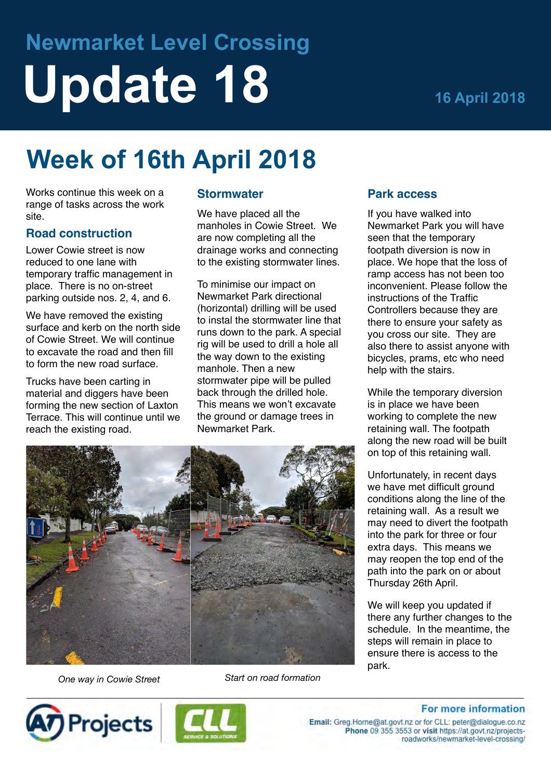# **Newmarket Level Crossing Update 18 16 April 2018**

## **Week of 16th April 2018**

Works continue this week on a range of tasks across the work site.

#### **Road construction**

Lower Cowie street is now reduced to one lane with temporary traffic management in place. There is no on-street parking outside nos. 2, 4, and 6.

We have removed the existing surface and kerb on the north side of Cowie Street. We will continue to excavate the road and then fill to form the new road surface.

Trucks have been carting in material and diggers have been forming the new section of Laxton Terrace. This will continue until we reach the existing road.

#### **Stormwater**

We have placed all the manholes in Cowie Street. We are now completing all the drainage works and connecting to the existing stormwater lines.

To minimise our impact on Newmarket Park directional (horizontal) drilling will be used to instal the stormwater line that runs down to the park. A special rig will be used to drill a hole all the way down to the existing manhole. Then a new stormwater pipe will be pulled back through the drilled hole. This means we won't excavate the ground or damage trees in Newmarket Park.



*One way in Cowie Street Start on road formation*





#### **Park access**

If you have walked into Newmarket Park you will have seen that the temporary footpath diversion is now in place. We hope that the loss of ramp access has not been too inconvenient. Please follow the instructions of the Traffic Controllers because they are there to ensure your safety as you cross our site. They are also there to assist anyone with bicycles, prams, etc who need help with the stairs.

While the temporary diversion is in place we have been working to complete the new retaining wall. The footpath along the new road will be built on top of this retaining wall.

Unfortunately, in recent days we have met difficult ground conditions along the line of the retaining wall. As a result we may need to divert the footpath into the park for three or four extra days. This means we may reopen the top end of the path into the park on or about Thursday 26th April.

We will keep you updated if there any further changes to the schedule. In the meantime, the steps will remain in place to ensure there is access to the park.